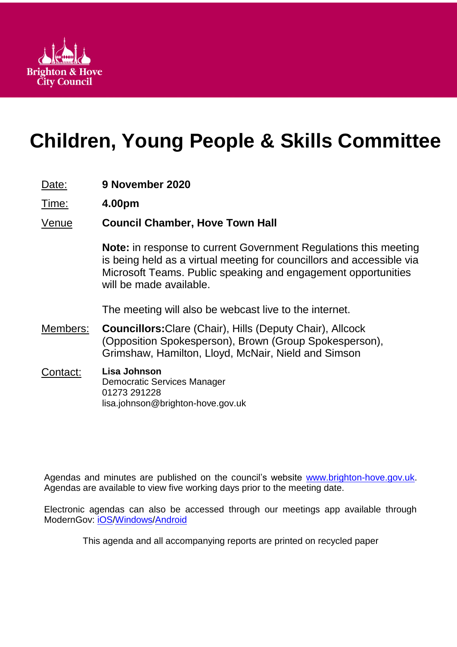

# **Children, Young People & Skills Committee**

|  | Date: |  | 9 November 2020 |  |
|--|-------|--|-----------------|--|
|--|-------|--|-----------------|--|

Time: **4.00pm**

# Venue **Council Chamber, Hove Town Hall**

**Note:** in response to current Government Regulations this meeting is being held as a virtual meeting for councillors and accessible via Microsoft Teams. Public speaking and engagement opportunities will be made available.

The meeting will also be webcast live to the internet.

- Members: **Councillors:**Clare (Chair), Hills (Deputy Chair), Allcock (Opposition Spokesperson), Brown (Group Spokesperson), Grimshaw, Hamilton, Lloyd, McNair, Nield and Simson
- Contact: **Lisa Johnson** Democratic Services Manager 01273 291228 lisa.johnson@brighton-hove.gov.uk

Agendas and minutes are published on the council's website [www.brighton-hove.gov.uk.](http://www.brighton-hove.gov.uk/) Agendas are available to view five working days prior to the meeting date.

Electronic agendas can also be accessed through our meetings app available through ModernGov: [iOS](https://play.google.com/store/apps/details?id=uk.co.moderngov.modgov&hl=en_GB)[/Windows/](https://www.microsoft.com/en-gb/p/modgov/9nblggh0c7s7#activetab=pivot:overviewtab)[Android](https://play.google.com/store/apps/details?id=uk.co.moderngov.modgov&hl=en_GB)

This agenda and all accompanying reports are printed on recycled paper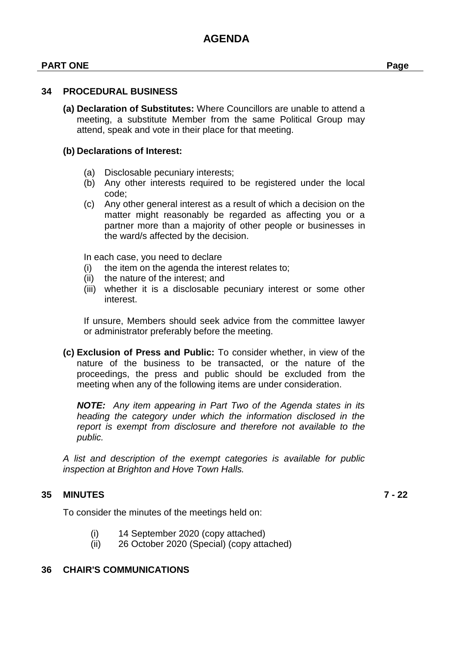#### **PART ONE Page**

#### **34 PROCEDURAL BUSINESS**

**(a) Declaration of Substitutes:** Where Councillors are unable to attend a meeting, a substitute Member from the same Political Group may attend, speak and vote in their place for that meeting.

#### **(b) Declarations of Interest:**

- (a) Disclosable pecuniary interests;
- (b) Any other interests required to be registered under the local code;
- (c) Any other general interest as a result of which a decision on the matter might reasonably be regarded as affecting you or a partner more than a majority of other people or businesses in the ward/s affected by the decision.

In each case, you need to declare

- (i) the item on the agenda the interest relates to;
- (ii) the nature of the interest; and
- (iii) whether it is a disclosable pecuniary interest or some other interest.

If unsure, Members should seek advice from the committee lawyer or administrator preferably before the meeting.

**(c) Exclusion of Press and Public:** To consider whether, in view of the nature of the business to be transacted, or the nature of the proceedings, the press and public should be excluded from the meeting when any of the following items are under consideration.

*NOTE: Any item appearing in Part Two of the Agenda states in its heading the category under which the information disclosed in the report is exempt from disclosure and therefore not available to the public.*

*A list and description of the exempt categories is available for public inspection at Brighton and Hove Town Halls.*

#### **35 MINUTES 7 - 22**

- To consider the minutes of the meetings held on:
	- (i) 14 September 2020 (copy attached)
	- (ii) 26 October 2020 (Special) (copy attached)

#### **36 CHAIR'S COMMUNICATIONS**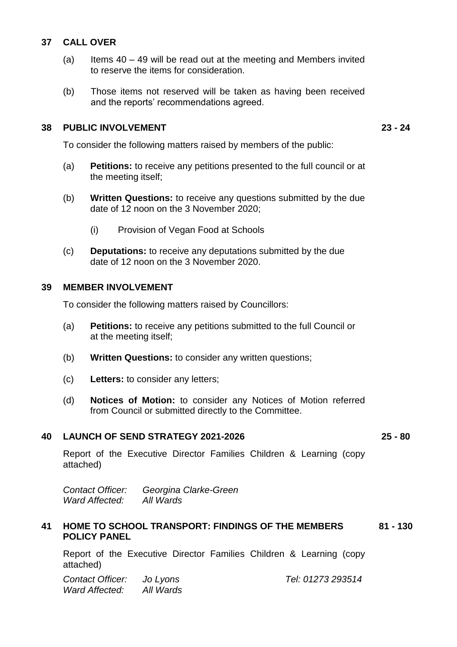#### **37 CALL OVER**

- (a) Items  $40 49$  will be read out at the meeting and Members invited to reserve the items for consideration.
- (b) Those items not reserved will be taken as having been received and the reports' recommendations agreed.

#### **38 PUBLIC INVOLVEMENT 23 - 24**

To consider the following matters raised by members of the public:

- (a) **Petitions:** to receive any petitions presented to the full council or at the meeting itself;
- (b) **Written Questions:** to receive any questions submitted by the due date of 12 noon on the 3 November 2020;
	- (i) Provision of Vegan Food at Schools
- (c) **Deputations:** to receive any deputations submitted by the due date of 12 noon on the 3 November 2020.

#### **39 MEMBER INVOLVEMENT**

To consider the following matters raised by Councillors:

- (a) **Petitions:** to receive any petitions submitted to the full Council or at the meeting itself;
- (b) **Written Questions:** to consider any written questions;
- (c) **Letters:** to consider any letters;
- (d) **Notices of Motion:** to consider any Notices of Motion referred from Council or submitted directly to the Committee.

# **40 LAUNCH OF SEND STRATEGY 2021-2026 25 - 80**

Report of the Executive Director Families Children & Learning (copy attached)

*Contact Officer: Georgina Clarke-Green Ward Affected:* 

#### **41 HOME TO SCHOOL TRANSPORT: FINDINGS OF THE MEMBERS POLICY PANEL 81 - 130**

Report of the Executive Director Families Children & Learning (copy attached)

*Contact Officer: Jo Lyons Tel: 01273 293514 Ward Affected: All Wards*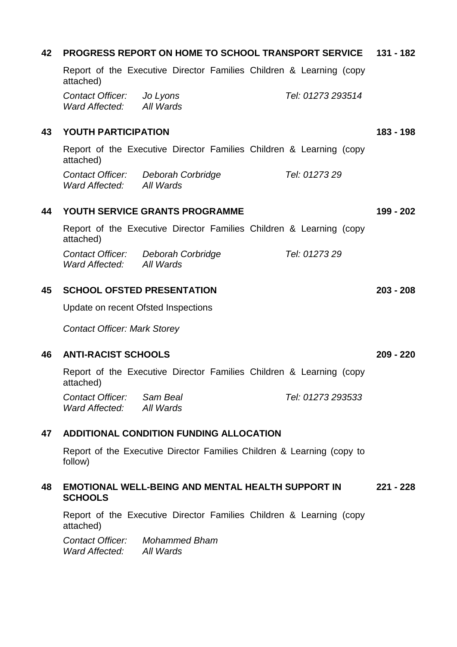| 42 | <b>PROGRESS REPORT ON HOME TO SCHOOL TRANSPORT SERVICE 131 - 182</b>              |             |  |  |
|----|-----------------------------------------------------------------------------------|-------------|--|--|
|    | Report of the Executive Director Families Children & Learning (copy<br>attached)  |             |  |  |
|    | Tel: 01273 293514<br>Contact Officer: Jo Lyons<br>Ward Affected: All Wards        |             |  |  |
| 43 | <b>YOUTH PARTICIPATION</b>                                                        | $183 - 198$ |  |  |
|    | Report of the Executive Director Families Children & Learning (copy<br>attached)  |             |  |  |
|    | Contact Officer: Deborah Corbridge<br>Tel: 0127329<br>Ward Affected: All Wards    |             |  |  |
| 44 | YOUTH SERVICE GRANTS PROGRAMME                                                    | 199 - 202   |  |  |
|    | Report of the Executive Director Families Children & Learning (copy<br>attached)  |             |  |  |
|    | Tel: 0127329<br>Contact Officer: Deborah Corbridge<br>All Wards<br>Ward Affected: |             |  |  |
| 45 | <b>SCHOOL OFSTED PRESENTATION</b>                                                 | $203 - 208$ |  |  |
|    | Update on recent Ofsted Inspections                                               |             |  |  |
|    | <b>Contact Officer: Mark Storey</b>                                               |             |  |  |
| 46 | <b>ANTI-RACIST SCHOOLS</b>                                                        | $209 - 220$ |  |  |
|    | Report of the Executive Director Families Children & Learning (copy<br>attached)  |             |  |  |
|    | Sam Beal<br>Tel: 01273 293533<br>Contact Officer:<br>Ward Affected:<br>All Wards  |             |  |  |
| 47 | ADDITIONAL CONDITION FUNDING ALLOCATION                                           |             |  |  |
|    | Report of the Executive Director Families Children & Learning (copy to<br>follow) |             |  |  |
| 48 | <b>EMOTIONAL WELL-BEING AND MENTAL HEALTH SUPPORT IN</b><br><b>SCHOOLS</b>        |             |  |  |
|    | Report of the Executive Director Families Children & Learning (copy<br>attached)  |             |  |  |
|    | <b>Contact Officer:</b> Mohammed Bham<br>Ward Affected: All Wards                 |             |  |  |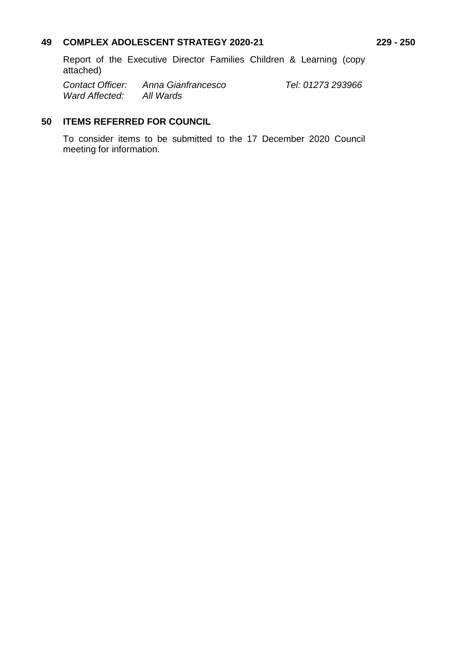#### **49 COMPLEX ADOLESCENT STRATEGY 2020-21 229 - 250**

Report of the Executive Director Families Children & Learning (copy attached)

*Contact Officer: Anna Gianfrancesco Tel: 01273 293966 Ward Affected: All Wards*

# **50 ITEMS REFERRED FOR COUNCIL**

To consider items to be submitted to the 17 December 2020 Council meeting for information.